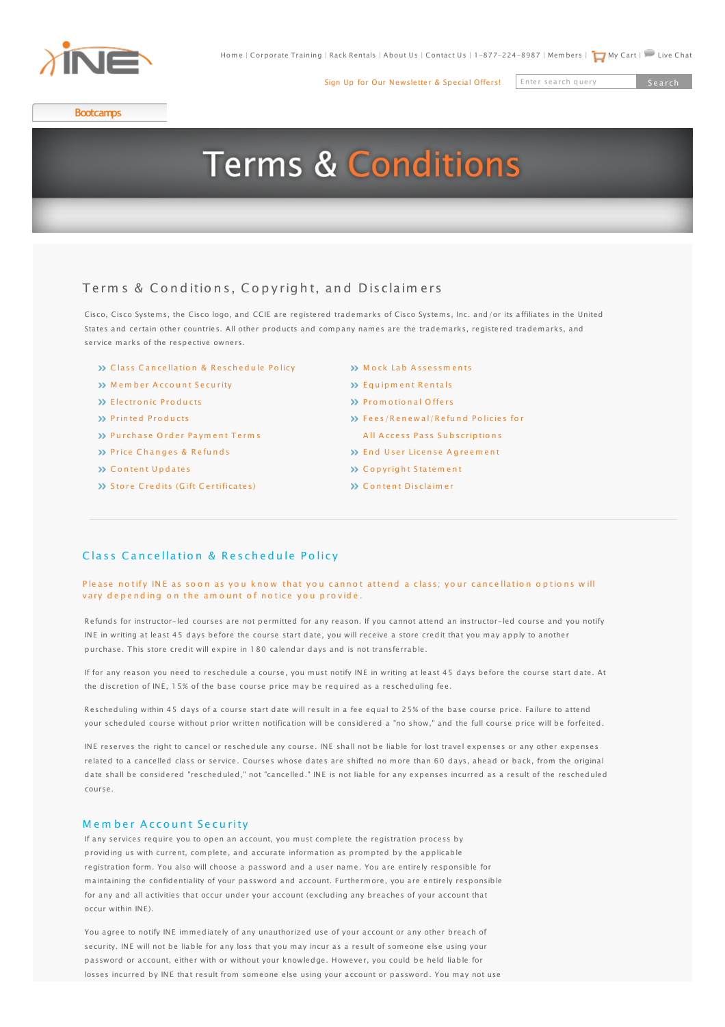

[Sign Up for Our Newsletter & Special Offers!](http://www.ine.com/email/index.php)

Enter search query Search

**[Bootcamps](http://www.ine.com/instructor-led/bootcamps.htm)**

# **Terms & Conditions**

# Terms & Conditions, Copyright, and Disclaimers

[Cisco, Cisco Systems,](http://www.ine.com/instructor-led/ccie-service-provider/bootcamps.htm) the Cisco logo, and CCIE are registered trademarks of Cisco Systems, Inc. and/or its affiliates in the United States and certain other countries. All other products and company names are the trademarks, registered trademarks, and service marks of the respective owners.

- **>>** Class Cancellation & Reschedule Policy
- W [M](#page-0-1)emberAccount S[e](#page-0-1)curity
- [E le ctro n](http://www.ine.com/resources/)[ic](http://www.ine.com/resources/) [P ro](#page-1-0)[d](#page-1-0)[u](#page-1-0)[cts](#page-1-0)
- >> Printed Products
- >>Purchase [O](http://www.ine.com/self-paced/ccie-routing-switching/workbooks.htm)rd[e](#page-1-2)r Payment Terms
- >>Price Ch[a](http://www.ine.com/ccie-routing-switching-lab-preparation.htm)[n](http://www.ine.com/ccie-routing-switching-lab-preparation.htm)ge[s](#page-1-3) & Refunds
- **XX [C](#page-1-4)ontentU[n](#page-1-4)da[te](#page-1-4)s**
- [S](#page-1-5)toreC[re](#page-1-5)dits (Gift [C](#page-1-5)ertificates)
- **SS Mock Lab Assessments**
- SS Equinment Rentals
- **>> [P](#page-2-0)romotionalOffers**
- >> Fees/Renewal/Refund Policies for
- All Access Pass Subscriptions
- >> [E](#page-2-2)ndUser Lice[n](#page-2-2)[se](#page-2-2) Agreement
- $\gg$  [C](#page-2-3)opyrightStatement
- >> [C](#page-3-0)ontentDisclaimer

# <span id="page-0-0"></span>ClassCance[l](http://www.ine.com/self-paced/ccie-voice/bootcamps.htm)lation & Reschedule Policy

#### Please no tify INE as soon as you know that you cannot attend a class; your cancellation options will varydepending on the amount of notice you provide.

[Refunds for instructo](http://www.ine.com/self-paced/ccie-security/bootcamps.htm)r-[led courses are not permitted](http://www.ine.com/self-paced/mobile-ine.htm#hd) for any reason. If you cannot attend an instructor-led course and you notify [INE in writing at leas](http://www.ine.com/self-paced/ccie-security/workbooks.htm)t 4[5 days before the course sta](http://www.ine.com/self-paced/mobile-ine.htm#hd)rt d[ate, you will receive a store cr](http://www.ine.com/corporate-training-packages.htm)edit that you may apply to another [purchase. This store](http://www.ine.com/ccie-security-lab-preparation.htm) credit will expire in 180 calendar [days and is not transferrable.](http://www.ine.com/corporate-training-packages.htm)

[If for any reason you](http://www.ine.com/self-paced/ccie-service-provider/bootcamps/ccie-service-provider-advanced-technologies-class.htm) need to reschedule a course, you must notify INE in writing at least 45 days before the course start date. At [the discretion of INE](http://www.ine.com/self-paced/ccie-service-provider/workbooks.htm), 15% of the base course price may be required as a rescheduling fee.

[Rescheduling within](http://www.ine.com/ccie-service-provider-lab-preparation.htm) 45 days of a course start date will result in a fee equal to 25% of the base course price. Failure to attend your scheduled course without prior written notification will be considered a "no show," and the full course price will be forfeited.

INE reserves the right to cancel or reschedule any course. INE shall not be liable for lost travel expenses or any other expenses related to a cancelled class or service. Courses whose dates are shifted no more than 60 days, ahead or back, from the original date shall be considered "rescheduled," not "cancelled." INE is not liable for any expenses incurred as a result of the rescheduled course.

# <span id="page-0-1"></span>Member Account Security

If any services require you to open an account, you must complete the registration process by providing us with current, complete, and accurate information as prompted by the applicable registration form. You also will choose a password and a user name. You are entirely responsible for maintaining the confidentiality of your password and account. Furthermore, you are entirely responsible for any and all activities that occur under your account (excluding any breaches of your account that occur within INE).

You agree to notify INE immediately of any unauthorized use of your account or any other breach of security. INE will not be liable for any loss that you may incur as a result of someone else using your password or account, either with or without your knowledge. However, you could be held liable for losses incurred by INE that result from someone else using your account or password. You may not use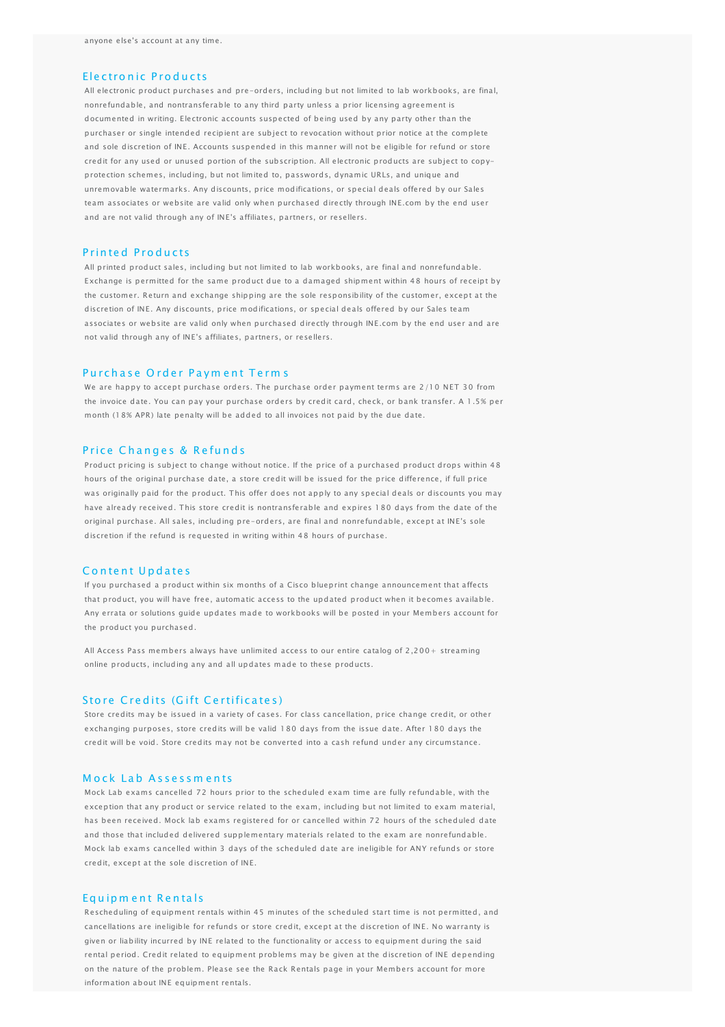### <span id="page-1-8"></span><span id="page-1-0"></span>Electronic Products

All electronic product purchases and pre-orders, including but not limited to lab workbooks, are final, nonrefundable, and nontransferable to any third party unless a prior licensing agreement is documented in writing. Electronic accounts suspected of being used by any party other than the purchaser or single intended recipient are subject to revocation without prior notice at the complete and sole discretion of INE. Accounts suspended in this manner will not be eligible for refund or store credit for any used or unused portion of the subscription. All electronic products are subject to copyprotection schemes, including, but not limited to, passwords, dynamic URLs, and unique and unremovable watermarks. Any discounts, price modifications, or special deals offered by our Sales team associates or website are valid only when purchased directly through INE.com by the end user and are not valid through any of INE's affiliates, partners, or resellers.

#### <span id="page-1-1"></span>P rin te d P ro d u c ts

All printed product sales, including but not limited to lab workbooks, are final and nonrefundable. Exchange is permitted for the same product due to a damaged shipment within 48 hours of receipt by the customer. Return and exchange shipping are the sole responsibility of the customer, except at the discretion of INE. Any discounts, price modifications, or special deals offered by our Sales team associates or website are valid only when purchased directly through INE.com by the end user and are not valid through any of INE's affiliates, partners, or resellers.

# <span id="page-1-2"></span>Purchase Order Payment Terms

We are happy to accept purchase orders. The purchase order payment terms are 2/10 NET 30 from the invoice date. You can pay your purchase orders by credit card, check, or bank transfer. A 1.5% per month (18% APR) late penalty will be added to all invoices not paid by the due date.

#### <span id="page-1-3"></span>Price Changes & Refunds

Product pricing is subject to change without notice. If the price of a purchased product drops within 48 hours of the original purchase date, a store credit will be issued for the price difference, if full price was originally paid for the product. This offer does not apply to any special deals or discounts you may have already received. This store credit is nontransferable and expires 180 days from the date of the original purchase. All sales, including pre-orders, are final and nonrefundable, except at INE's sole discretion if the refund is requested in writing within 48 hours of purchase.

#### <span id="page-1-4"></span>Content Updates

If you purchased a product within six months of a Cisco blueprint change announcement that affects that product, you will have free, automatic access to the updated product when it becomes available. Any errata or solutions guide updates made to workbooks will be posted in your Members account for the product you purchased.

[All Access Pass](http://www.ine.com/all-access-pass-monthly.htm) members always have unlimited access to our entire catalog of 2,200+ streaming online products, including any and all updates made to these products.

# <span id="page-1-5"></span>Store Credits (Gift Certificates)

Store credits may be issued in a variety of cases. For class cancellation, price change credit, or other exchanging purposes, store credits will be valid 180 days from the issue date. After 180 days the credit will be void. Store credits may not be converted into a cash refund under any circumstance.

# <span id="page-1-6"></span>Mock Lab Assessments

Mock Lab exams cancelled 72 hours prior to the scheduled exam time are fully refundable, with the exception that any product or service related to the exam, including but not limited to exam material, has been received. Mock lab exams registered for or cancelled within 72 hours of the scheduled date and those that included delivered supplementary materials related to the exam are nonrefundable. Mock lab exams cancelled within 3 days of the scheduled date are ineligible for ANY refunds or store credit, except at the sole discretion of INE.

#### <span id="page-1-7"></span>Eq u ip m e n t R e n ta ls

Rescheduling of equipment rentals within 45 minutes of the scheduled start time is not permitted, and cancellations are ineligible for refunds or store credit, except at the discretion of INE. No warranty is given or liability incurred by INE related to the functionality or access to equipment during the said rental period. Credit related to equipment problems may be given at the discretion of INE depending on the nature of the problem. Please see the [Rack Rentals page](https://members.ine.com/dash/rental) in your Members account for more information about INE equipment rentals.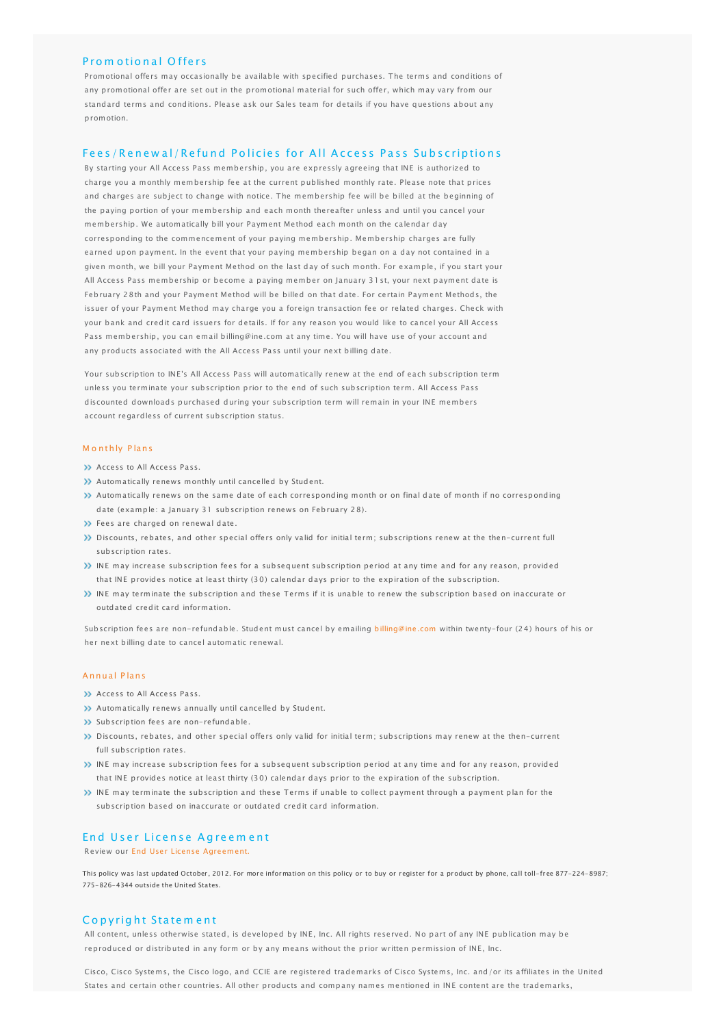# <span id="page-2-0"></span>Prom otional Offers

Promotional offers may occasionally be available with specified purchases. The terms and conditions of any promotional offer are set out in the promotional material for such offer, which may vary from our standard terms and conditions. Please ask our [Sales team](mailto:sales@ine.com) for details if you have questions about any promotion.

# <span id="page-2-1"></span>Fees/Renewal/Refund Policies for All Access Pass Subscriptions

By starting your [All Access Pass](http://www.ine.com/all-access-pass-monthly.htm) membership, you are expressly agreeing that INE is authorized to charge you a monthly membership fee at the current published monthly rate. Please note that prices and charges are subject to change with notice. The membership fee will be billed at the beginning of the paying portion of your membership and each month thereafter unless and until you cancel your membership. We automatically bill your Payment Method each month on the calendar day corresponding to the commencement of your paying membership. Membership charges are fully earned upon payment. In the event that your paying membership began on a day not contained in a given month, we bill your Payment Method on the last day of such month. For example, if you start your All Access Pass membership or become a paying member on January 31st, your next payment date is February 28th and your Payment Method will be billed on that date. For certain Payment Methods, the issuer of your Payment Method may charge you a foreign transaction fee or related charges. Check with your bank and credit card issuers for details. If for any reason you would like to cancel your All Access Pass membership, you can email [billing@ine.com](mailto:billing@ine.com) at any time. You will have use of your account and any products associated with the All Access Pass until your next billing date.

Your subscription to INE's All Access Pass will automatically renew at the end of each subscription term unless you terminate your subscription prior to the end of such subscription term. All Access Pass discounted downloads purchased during your subscription term will remain in your INE members account regardless of current subscription status.

#### M o nthly P lans

- **Access to All Access Pass.**
- Automatically renews monthly until cancelled by Student.
- Automatically renews on the same date of each corresponding month or on final date of month if no corresponding date (example: a January 31 subscription renews on February 28).
- >> Fees are charged on renewal date.
- Discounts, rebates, and other special offers only valid for initial term; subscriptions renew at the then-current full subscription rates.
- INE may increase subscription fees for a subsequent subscription period at any time and for any reason, provided that INE provides notice at least thirty (30) calendar days prior to the expiration of the subscription.
- INE may terminate the subscription and these Terms if it is unable to renew the subscription based on inaccurate or outdated credit card information.

Subscription fees are non-refundable. Student must cancel by emailing [billing@ine.com](mailto:billing@ine.com) within twenty-four (24) hours of his or her next billing date to cancel automatic renewal.

# A nnual P lans

- **XX** Access to All Access Pass.
- Automatically renews annually until cancelled by Student.
- Subscription fees are non-refundable.
- Discounts, rebates, and other special offers only valid for initial term; subscriptions may renew at the then-current full subscription rates.
- INE may increase subscription fees for a subsequent subscription period at any time and for any reason, provided that INE provides notice at least thirty (30) calendar days prior to the expiration of the subscription.
- INE may terminate the subscription and these Terms if unable to collect payment through a payment plan for the subscription based on inaccurate or outdated credit card information.

### <span id="page-2-2"></span>End User License Agreement

Review our [End User License Agreement.](http://www.ine.com/end-user.htm)

This policy was last updated October, 2012. For more information on this policy or to buy or register for a product by phone, call toll-free 877-224-8987; 775-826-4344 outside the United States.

#### <span id="page-2-3"></span>Copyright Statement

All content, unless otherwise stated, is developed by INE, Inc. All rights reserved. No part of any INE publication may be reproduced or distributed in any form or by any means without the prior written permission of INE, Inc.

Cisco, Cisco Systems, the Cisco logo, and CCIE are registered trademarks of Cisco Systems, Inc. and/or its affiliates in the United States and certain other countries. All other products and company names mentioned in INE content are the trademarks,